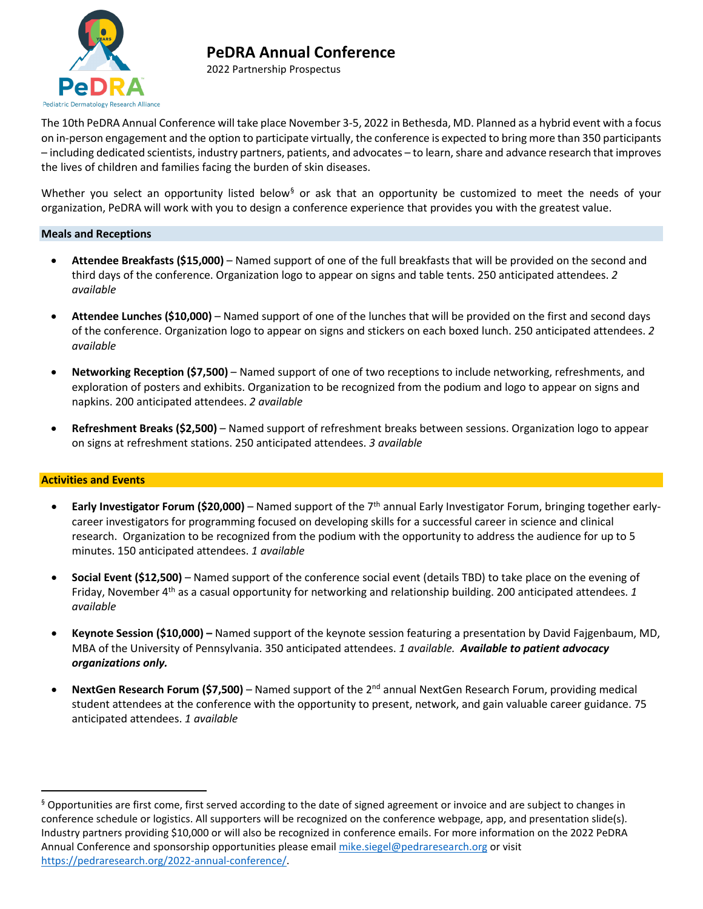

## **PeDRA Annual Conference**

2022 Partnership Prospectus

The 10th PeDRA Annual Conference will take place November 3-5, 2022 in Bethesda, MD. Planned as a hybrid event with a focus on in-person engagement and the option to participate virtually, the conference is expected to bring more than 350 participants – including dedicated scientists, industry partners, patients, and advocates – to learn, share and advance research that improves the lives of children and families facing the burden of skin diseases.

Whether you select an opportunity listed below<sup>[§](#page-0-0)</sup> or ask that an opportunity be customized to meet the needs of your organization, PeDRA will work with you to design a conference experience that provides you with the greatest value.

## **Meals and Receptions**

- **Attendee Breakfasts (\$15,000)** Named support of one of the full breakfasts that will be provided on the second and third days of the conference. Organization logo to appear on signs and table tents. 250 anticipated attendees. *2 available*
- **Attendee Lunches (\$10,000)**  Named support of one of the lunches that will be provided on the first and second days of the conference. Organization logo to appear on signs and stickers on each boxed lunch. 250 anticipated attendees. *2 available*
- **Networking Reception (\$7,500)** Named support of one of two receptions to include networking, refreshments, and exploration of posters and exhibits. Organization to be recognized from the podium and logo to appear on signs and napkins. 200 anticipated attendees. *2 available*
- **Refreshment Breaks (\$2,500)**  Named support of refreshment breaks between sessions. Organization logo to appear on signs at refreshment stations. 250 anticipated attendees. *3 available*

## **Activities and Events**

- **Early Investigator Forum (\$20,000)** Named support of the 7th annual Early Investigator Forum, bringing together earlycareer investigators for programming focused on developing skills for a successful career in science and clinical research. Organization to be recognized from the podium with the opportunity to address the audience for up to 5 minutes. 150 anticipated attendees. *1 available*
- **Social Event (\$12,500)** Named support of the conference social event (details TBD) to take place on the evening of Friday, November 4th as a casual opportunity for networking and relationship building. 200 anticipated attendees. *1 available*
- **Keynote Session (\$10,000) –** Named support of the keynote session featuring a presentation by David Fajgenbaum, MD, MBA of the University of Pennsylvania. 350 anticipated attendees. *1 available. Available to patient advocacy organizations only.*
- **NextGen Research Forum (\$7,500)** Named support of the 2nd annual NextGen Research Forum, providing medical student attendees at the conference with the opportunity to present, network, and gain valuable career guidance. 75 anticipated attendees. *1 available*

<span id="page-0-0"></span><sup>§</sup> Opportunities are first come, first served according to the date of signed agreement or invoice and are subject to changes in conference schedule or logistics. All supporters will be recognized on the conference webpage, app, and presentation slide(s). Industry partners providing \$10,000 or will also be recognized in conference emails. For more information on the 2022 PeDRA Annual Conference and sponsorship opportunities please emai[l mike.siegel@pedraresearch.org](mailto:mike.siegel@pedraresearch.org) or visit [https://pedraresearch.org/2022-annual-conference/.](https://pedraresearch.org/2022-annual-conference/)